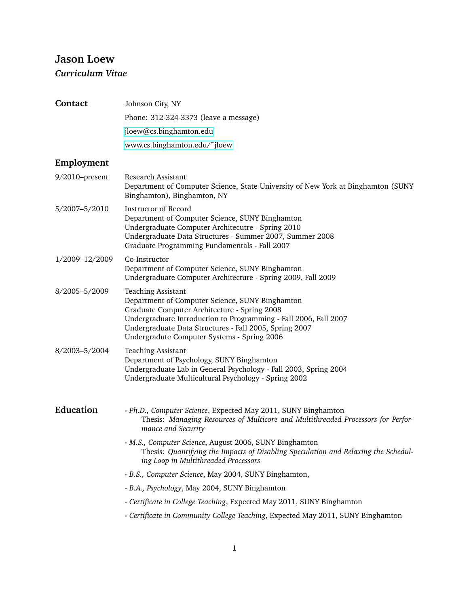# **Jason Loew** *Curriculum Vitae*

| <b>Contact</b> | Johnson City, NY                                                                                                                                                                                                                                                                                          |  |
|----------------|-----------------------------------------------------------------------------------------------------------------------------------------------------------------------------------------------------------------------------------------------------------------------------------------------------------|--|
|                | Phone: 312-324-3373 (leave a message)                                                                                                                                                                                                                                                                     |  |
|                | jloew@cs.binghamton.edu                                                                                                                                                                                                                                                                                   |  |
|                | www.cs.binghamton.edu/~jloew                                                                                                                                                                                                                                                                              |  |
| Employment     |                                                                                                                                                                                                                                                                                                           |  |
| 9/2010-present | Research Assistant<br>Department of Computer Science, State University of New York at Binghamton (SUNY<br>Binghamton), Binghamton, NY                                                                                                                                                                     |  |
| 5/2007-5/2010  | Instructor of Record<br>Department of Computer Science, SUNY Binghamton<br>Undergraduate Computer Architecutre - Spring 2010<br>Undergraduate Data Structures - Summer 2007, Summer 2008<br>Graduate Programming Fundamentals - Fall 2007                                                                 |  |
| 1/2009-12/2009 | Co-Instructor<br>Department of Computer Science, SUNY Binghamton<br>Undergraduate Computer Architecture - Spring 2009, Fall 2009                                                                                                                                                                          |  |
| 8/2005-5/2009  | <b>Teaching Assistant</b><br>Department of Computer Science, SUNY Binghamton<br>Graduate Computer Architecture - Spring 2008<br>Undergraduate Introduction to Programming - Fall 2006, Fall 2007<br>Undergraduate Data Structures - Fall 2005, Spring 2007<br>Undergradute Computer Systems - Spring 2006 |  |
| 8/2003-5/2004  | <b>Teaching Assistant</b><br>Department of Psychology, SUNY Binghamton<br>Undergraduate Lab in General Psychology - Fall 2003, Spring 2004<br>Undergraduate Multicultural Psychology - Spring 2002                                                                                                        |  |
| Education      | · Ph.D., Computer Science, Expected May 2011, SUNY Binghamton<br>Thesis: Managing Resources of Multicore and Multithreaded Processors for Perfor-<br>mance and Security                                                                                                                                   |  |
|                | · M.S., Computer Science, August 2006, SUNY Binghamton<br>Thesis: Quantifying the Impacts of Disabling Speculation and Relaxing the Schedul-<br>ing Loop in Multithreaded Processors                                                                                                                      |  |
|                | · B.S., Computer Science, May 2004, SUNY Binghamton,                                                                                                                                                                                                                                                      |  |
|                | · B.A., Psychology, May 2004, SUNY Binghamton                                                                                                                                                                                                                                                             |  |
|                | · Certificate in College Teaching, Expected May 2011, SUNY Binghamton                                                                                                                                                                                                                                     |  |
|                | · Certificate in Community College Teaching, Expected May 2011, SUNY Binghamton                                                                                                                                                                                                                           |  |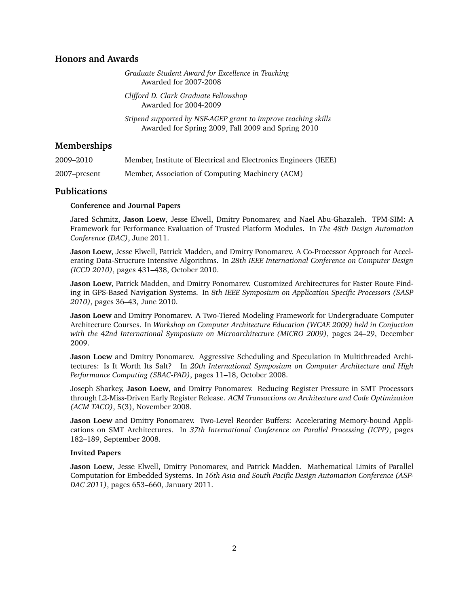## **Honors and Awards**

*Graduate Student Award for Excellence in Teaching* Awarded for 2007-2008

*Clifford D. Clark Graduate Fellowshop* Awarded for 2004-2009

*Stipend supported by NSF-AGEP grant to improve teaching skills* Awarded for Spring 2009, Fall 2009 and Spring 2010

## **Memberships**

| 2009–2010    | Member, Institute of Electrical and Electronics Engineers (IEEE) |
|--------------|------------------------------------------------------------------|
| 2007–present | Member, Association of Computing Machinery (ACM)                 |

## **Publications**

#### **Conference and Journal Papers**

Jared Schmitz, **Jason Loew**, Jesse Elwell, Dmitry Ponomarev, and Nael Abu-Ghazaleh. TPM-SIM: A Framework for Performance Evaluation of Trusted Platform Modules. In *The 48th Design Automation Conference (DAC)*, June 2011.

**Jason Loew**, Jesse Elwell, Patrick Madden, and Dmitry Ponomarev. A Co-Processor Approach for Accelerating Data-Structure Intensive Algorithms. In *28th IEEE International Conference on Computer Design (ICCD 2010)*, pages 431–438, October 2010.

**Jason Loew**, Patrick Madden, and Dmitry Ponomarev. Customized Architectures for Faster Route Finding in GPS-Based Navigation Systems. In *8th IEEE Symposium on Application Specific Processors (SASP 2010)*, pages 36–43, June 2010.

**Jason Loew** and Dmitry Ponomarev. A Two-Tiered Modeling Framework for Undergraduate Computer Architecture Courses. In *Workshop on Computer Architecture Education (WCAE 2009) held in Conjuction with the 42nd International Symposium on Microarchitecture (MICRO 2009)*, pages 24–29, December 2009.

**Jason Loew** and Dmitry Ponomarev. Aggressive Scheduling and Speculation in Multithreaded Architectures: Is It Worth Its Salt? In *20th International Symposium on Computer Architecture and High Performance Computing (SBAC-PAD)*, pages 11–18, October 2008.

Joseph Sharkey, **Jason Loew**, and Dmitry Ponomarev. Reducing Register Pressure in SMT Processors through L2-Miss-Driven Early Register Release. *ACM Transactions on Architecture and Code Optimization (ACM TACO)*, 5(3), November 2008.

**Jason Loew** and Dmitry Ponomarev. Two-Level Reorder Buffers: Accelerating Memory-bound Applications on SMT Architectures. In *37th International Conference on Parallel Processing (ICPP)*, pages 182–189, September 2008.

#### **Invited Papers**

**Jason Loew**, Jesse Elwell, Dmitry Ponomarev, and Patrick Madden. Mathematical Limits of Parallel Computation for Embedded Systems. In *16th Asia and South Pacific Design Automation Conference (ASP-DAC 2011)*, pages 653–660, January 2011.